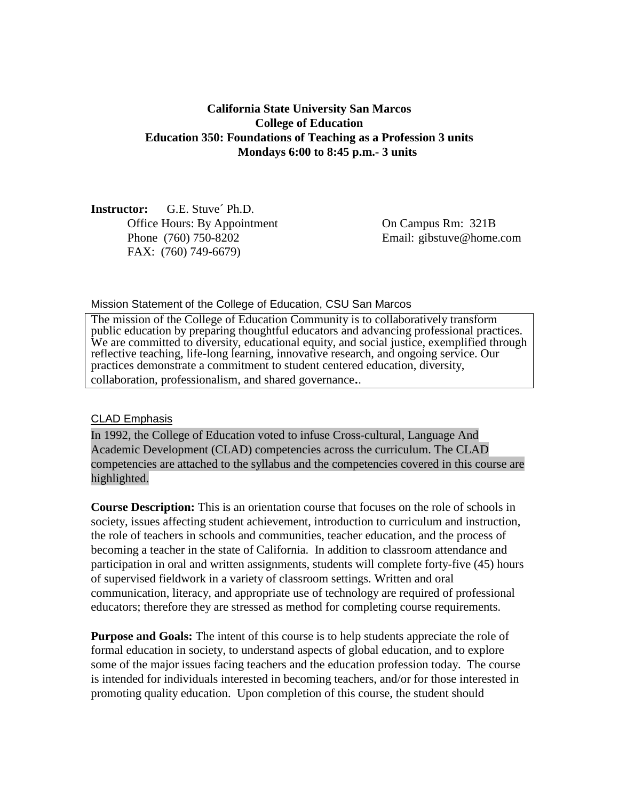### **California State University San Marcos College of Education Education 350: Foundations of Teaching as a Profession 3 units Mondays 6:00 to 8:45 p.m.- 3 units**

**Instructor:** G.E. Stuve´ Ph.D. Office Hours: By Appointment On Campus Rm: 321B Phone (760) 750-8202 Email: gibstuve@home.com FAX: (760) 749-6679)

Mission Statement of the College of Education, CSU San Marcos

The mission of the College of Education Community is to collaboratively transform public education by preparing thoughtful educators and advancing professional practices. We are committed to diversity, educational equity, and social justice, exemplified through reflective teaching, life-long learning, innovative research, and ongoing service. Our practices demonstrate a commitment to student centered education, diversity, collaboration, professionalism, and shared governance..

#### CLAD Emphasis

In 1992, the College of Education voted to infuse Cross-cultural, Language And Academic Development (CLAD) competencies across the curriculum. The CLAD competencies are attached to the syllabus and the competencies covered in this course are highlighted.

**Course Description:** This is an orientation course that focuses on the role of schools in society, issues affecting student achievement, introduction to curriculum and instruction, the role of teachers in schools and communities, teacher education, and the process of becoming a teacher in the state of California. In addition to classroom attendance and participation in oral and written assignments, students will complete forty-five (45) hours of supervised fieldwork in a variety of classroom settings. Written and oral communication, literacy, and appropriate use of technology are required of professional educators; therefore they are stressed as method for completing course requirements.

**Purpose and Goals:** The intent of this course is to help students appreciate the role of formal education in society, to understand aspects of global education, and to explore some of the major issues facing teachers and the education profession today. The course is intended for individuals interested in becoming teachers, and/or for those interested in promoting quality education. Upon completion of this course, the student should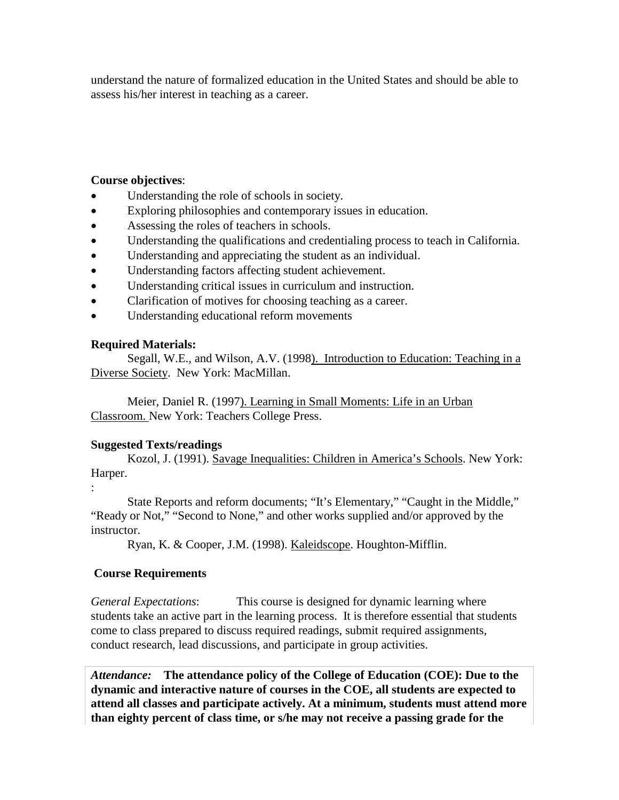understand the nature of formalized education in the United States and should be able to assess his/her interest in teaching as a career.

#### **Course objectives**:

- Understanding the role of schools in society.
- Exploring philosophies and contemporary issues in education.
- Assessing the roles of teachers in schools.
- Understanding the qualifications and credentialing process to teach in California.
- Understanding and appreciating the student as an individual.
- Understanding factors affecting student achievement.
- Understanding critical issues in curriculum and instruction.
- Clarification of motives for choosing teaching as a career.
- Understanding educational reform movements

#### **Required Materials:**

Segall, W.E., and Wilson, A.V. (1998). Introduction to Education: Teaching in a Diverse Society. New York: MacMillan.

Meier, Daniel R. (1997). Learning in Small Moments: Life in an Urban Classroom. New York: Teachers College Press.

## **Suggested Texts/readings**

Kozol, J. (1991). Savage Inequalities: Children in America's Schools. New York: Harper.

:

State Reports and reform documents; "It's Elementary," "Caught in the Middle," "Ready or Not," "Second to None," and other works supplied and/or approved by the instructor.

Ryan, K. & Cooper, J.M. (1998). Kaleidscope. Houghton-Mifflin.

## **Course Requirements**

*General Expectations*: This course is designed for dynamic learning where students take an active part in the learning process. It is therefore essential that students come to class prepared to discuss required readings, submit required assignments, conduct research, lead discussions, and participate in group activities.

*Attendance:* **The attendance policy of the College of Education (COE): Due to the dynamic and interactive nature of courses in the COE, all students are expected to attend all classes and participate actively. At a minimum, students must attend more than eighty percent of class time, or s/he may not receive a passing grade for the**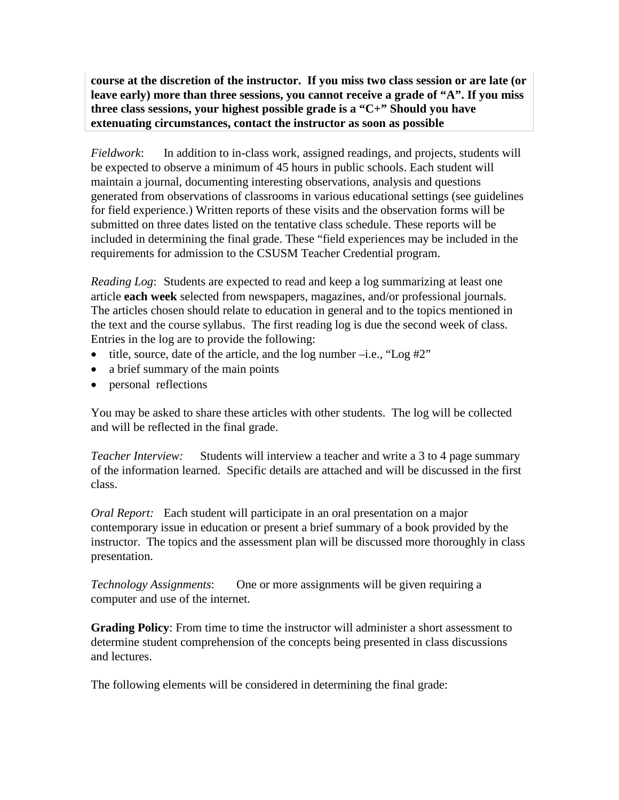**course at the discretion of the instructor. If you miss two class session or are late (or leave early) more than three sessions, you cannot receive a grade of "A". If you miss three class sessions, your highest possible grade is a "C+" Should you have extenuating circumstances, contact the instructor as soon as possible**

*Fieldwork*: In addition to in-class work, assigned readings, and projects, students will be expected to observe a minimum of 45 hours in public schools. Each student will maintain a journal, documenting interesting observations, analysis and questions generated from observations of classrooms in various educational settings (see guidelines for field experience.) Written reports of these visits and the observation forms will be submitted on three dates listed on the tentative class schedule. These reports will be included in determining the final grade. These "field experiences may be included in the requirements for admission to the CSUSM Teacher Credential program.

*Reading Log*: Students are expected to read and keep a log summarizing at least one article **each week** selected from newspapers, magazines, and/or professional journals. The articles chosen should relate to education in general and to the topics mentioned in the text and the course syllabus. The first reading log is due the second week of class. Entries in the log are to provide the following:

- title, source, date of the article, and the log number  $-i.e.,$  "Log  $\#2"$ "
- a brief summary of the main points
- personal reflections

You may be asked to share these articles with other students. The log will be collected and will be reflected in the final grade.

*Teacher Interview:* Students will interview a teacher and write a 3 to 4 page summary of the information learned. Specific details are attached and will be discussed in the first class.

*Oral Report:* Each student will participate in an oral presentation on a major contemporary issue in education or present a brief summary of a book provided by the instructor. The topics and the assessment plan will be discussed more thoroughly in class presentation.

*Technology Assignments*: One or more assignments will be given requiring a computer and use of the internet.

**Grading Policy**: From time to time the instructor will administer a short assessment to determine student comprehension of the concepts being presented in class discussions and lectures.

The following elements will be considered in determining the final grade: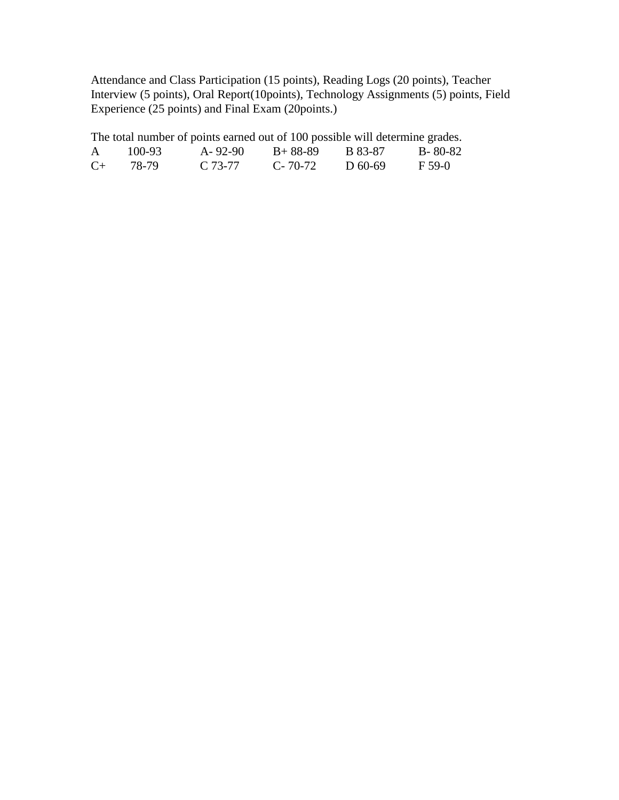Attendance and Class Participation (15 points), Reading Logs (20 points), Teacher Interview (5 points), Oral Report(10points), Technology Assignments (5) points, Field Experience (25 points) and Final Exam (20points.)

| The total number of points earned out of 100 possible will determine grades. |        |           |               |           |            |  |
|------------------------------------------------------------------------------|--------|-----------|---------------|-----------|------------|--|
| $\mathsf{A}$                                                                 | 100-93 | A-92-90   | B+ 88-89      | B 83-87   | - B- 80-82 |  |
| $C_{\pm}$                                                                    | 78-79  | $C.73-77$ | $C - 70 - 72$ | $D$ 60-69 | F 59-0     |  |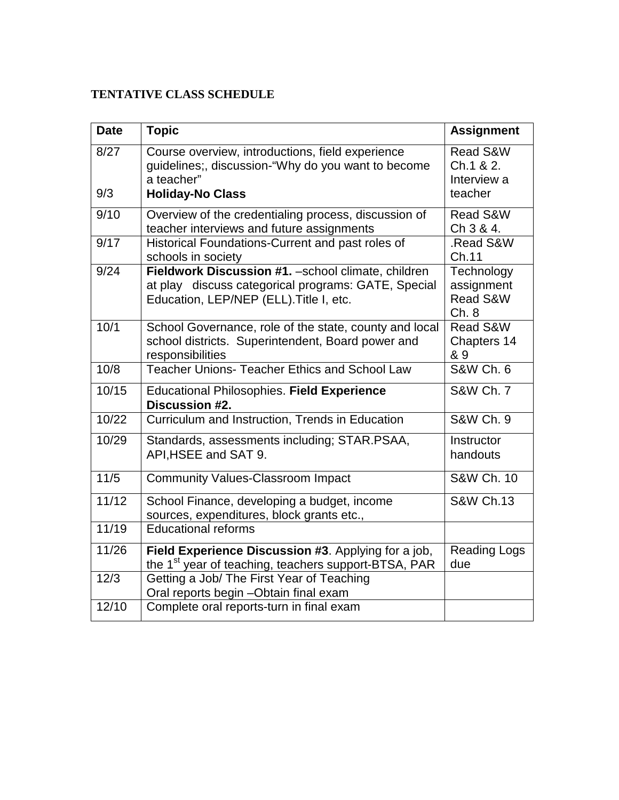# **TENTATIVE CLASS SCHEDULE**

| <b>Date</b> | <b>Topic</b>                                                                                                                                          | <b>Assignment</b>                               |
|-------------|-------------------------------------------------------------------------------------------------------------------------------------------------------|-------------------------------------------------|
| 8/27<br>9/3 | Course overview, introductions, field experience<br>guidelines;, discussion-"Why do you want to become<br>a teacher"<br><b>Holiday-No Class</b>       | Read S&W<br>Ch.1 & 2.<br>Interview a<br>teacher |
| 9/10        | Overview of the credentialing process, discussion of<br>teacher interviews and future assignments                                                     | Read S&W<br>Ch 3 & 4.                           |
| 9/17        | Historical Foundations-Current and past roles of<br>schools in society                                                                                | .Read S&W<br>Ch.11                              |
| 9/24        | Fieldwork Discussion #1. - school climate, children<br>at play discuss categorical programs: GATE, Special<br>Education, LEP/NEP (ELL). Title I, etc. | Technology<br>assignment<br>Read S&W<br>Ch.8    |
| 10/1        | School Governance, role of the state, county and local<br>school districts. Superintendent, Board power and<br>responsibilities                       | Read S&W<br>Chapters 14<br>& 9                  |
| 10/8        | <b>Teacher Unions- Teacher Ethics and School Law</b>                                                                                                  | <b>S&amp;W Ch. 6</b>                            |
| 10/15       | Educational Philosophies. Field Experience<br>Discussion #2.                                                                                          | <b>S&amp;W Ch. 7</b>                            |
| 10/22       | Curriculum and Instruction, Trends in Education                                                                                                       | <b>S&amp;W Ch. 9</b>                            |
| 10/29       | Standards, assessments including; STAR.PSAA,<br>API, HSEE and SAT 9.                                                                                  | Instructor<br>handouts                          |
| 11/5        | <b>Community Values-Classroom Impact</b>                                                                                                              | S&W Ch. 10                                      |
| 11/12       | School Finance, developing a budget, income<br>sources, expenditures, block grants etc.,                                                              | <b>S&amp;W Ch.13</b>                            |
| 11/19       | <b>Educational reforms</b>                                                                                                                            |                                                 |
| 11/26       | Field Experience Discussion #3. Applying for a job,<br>the 1 <sup>st</sup> year of teaching, teachers support-BTSA, PAR                               | <b>Reading Logs</b><br>due                      |
| 12/3        | Getting a Job/ The First Year of Teaching<br>Oral reports begin - Obtain final exam                                                                   |                                                 |
| 12/10       | Complete oral reports-turn in final exam                                                                                                              |                                                 |